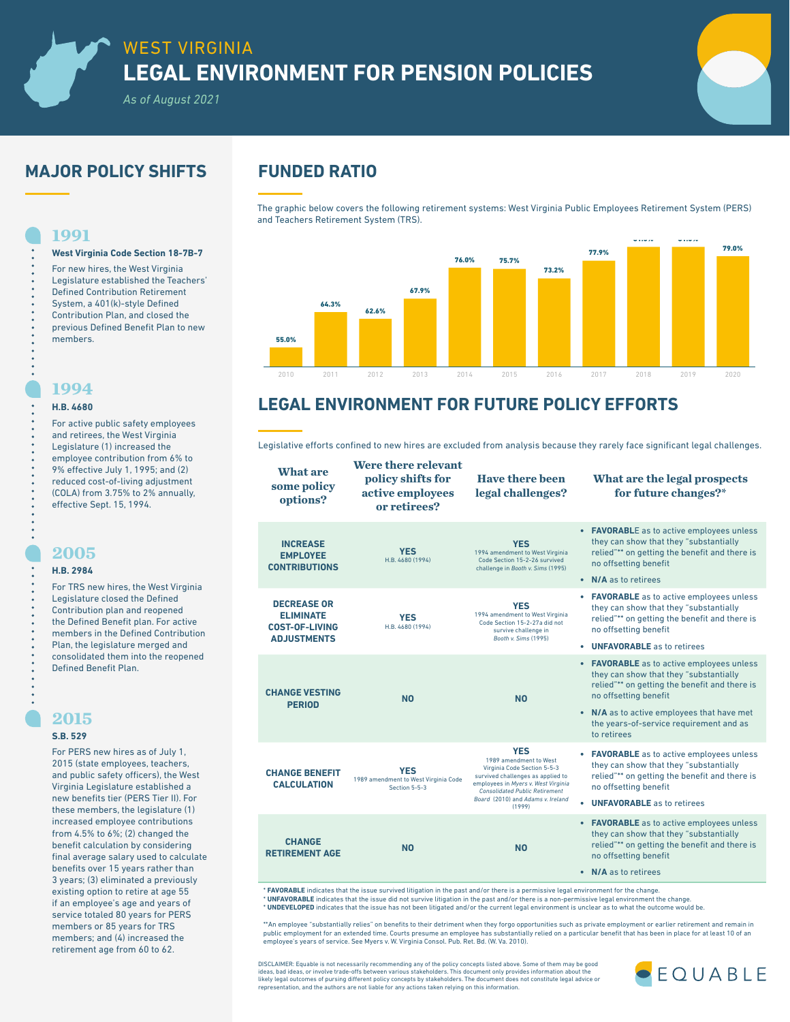*As of August 2021*

# **MAJOR POLICY SHIFTS FUNDED RATIO**

**West Virginia Code Section 18-7B-7** For new hires, the West Virginia Legislature established the Teachers' Defined Contribution Retirement System, a 401(k)-style Defined Contribution Plan, and closed the previous Defined Benefit Plan to new

The graphic below covers the following retirement systems: West Virginia Public Employees Retirement System (PERS) and Teachers Retirement System (TRS).



# **LEGAL ENVIRONMENT FOR FUTURE POLICY EFFORTS**

Legislative efforts confined to new hires are excluded from analysis because they rarely face significant legal challenges.

| <b>What are</b><br>some policy<br>options?                                            | Were there relevant<br>policy shifts for<br>active employees<br>or retirees? | <b>Have there been</b><br>legal challenges?                                                                                                                                                                                             | What are the legal prospects<br>for future changes?*                                                                                                                                                                                                                  |  |
|---------------------------------------------------------------------------------------|------------------------------------------------------------------------------|-----------------------------------------------------------------------------------------------------------------------------------------------------------------------------------------------------------------------------------------|-----------------------------------------------------------------------------------------------------------------------------------------------------------------------------------------------------------------------------------------------------------------------|--|
| <b>INCREASE</b><br><b>EMPLOYEE</b><br><b>CONTRIBUTIONS</b>                            | <b>YES</b><br>H.B. 4680 (1994)                                               | <b>YES</b><br>1994 amendment to West Virginia<br>Code Section 15-2-26 survived<br>challenge in Booth v. Sims (1995)                                                                                                                     | • FAVORABLE as to active employees unless<br>they can show that they "substantially<br>relied"** on getting the benefit and there is<br>no offsetting benefit                                                                                                         |  |
| <b>DECREASE OR</b><br><b>ELIMINATE</b><br><b>COST-OF-LIVING</b><br><b>ADJUSTMENTS</b> | <b>YES</b><br>H.B. 4680 (1994)                                               | <b>YES</b><br>1994 amendment to West Virginia<br>Code Section 15-2-27a did not<br>survive challenge in<br>Booth v. Sims (1995)                                                                                                          | • N/A as to retirees<br>• FAVORABLE as to active employees unless<br>they can show that they "substantially<br>relied"** on getting the benefit and there is<br>no offsetting benefit<br>• UNFAVORABLE as to retirees                                                 |  |
| <b>CHANGE VESTING</b><br><b>PERIOD</b>                                                | <b>NO</b>                                                                    | <b>NO</b>                                                                                                                                                                                                                               | • FAVORABLE as to active employees unless<br>they can show that they "substantially<br>relied"** on getting the benefit and there is<br>no offsetting benefit<br>• N/A as to active employees that have met<br>the years-of-service requirement and as<br>to retirees |  |
| <b>CHANGE BENEFIT</b><br><b>CALCULATION</b>                                           | <b>YES</b><br>1989 amendment to West Virginia Code<br>Section 5-5-3          | <b>YES</b><br>1989 amendment to West<br>Virginia Code Section 5-5-3<br>survived challenges as applied to<br>employees in Myers v. West Virginia<br><b>Consolidated Public Retirement</b><br>Board (2010) and Adams v. Ireland<br>(1999) | • FAVORABLE as to active employees unless<br>they can show that they "substantially<br>relied"** on getting the benefit and there is<br>no offsetting benefit<br>• UNFAVORABLE as to retirees                                                                         |  |
| <b>CHANGE</b><br><b>RETIREMENT AGE</b>                                                | <b>NO</b>                                                                    | <b>NO</b>                                                                                                                                                                                                                               | • FAVORABLE as to active employees unless<br>they can show that they "substantially<br>relied"** on getting the benefit and there is<br>no offsetting benefit<br>• N/A as to retirees                                                                                 |  |
|                                                                                       |                                                                              |                                                                                                                                                                                                                                         |                                                                                                                                                                                                                                                                       |  |

**\* FAVORABLE** indicates that the issue survived litigation in the past and/or there is a permissive legal environment for the change.<br>**\* UNFAVORABLE** indicates that the issue did not survive litigation in the past and/or t

\*\*An employee "substantially relies" on benefits to their detriment when they forgo opportunities such as private employment or earlier retirement and remain in public employment for an extended time. Courts presume an employee has substantially relied on a particular benefit that has been in place for at least 10 of an<br>employee's years of service. See Myers v. W. Virginia Consol.

DISCLAIMER: Equable is not necessarily recommending any of the policy concepts listed above. Some of them may be good<br>ideas, bad ideas, or involve trade-offs between various stakeholders. This document only provides inform likely legal outcomes of pursing different policy concepts by stakeholders. The document does not constitute legal advice or representation, and the authors are not liable for any actions taken relying on this information.



### **1994 H.B. 4680**

members.

**1991**

For active public safety employees and retirees, the West Virginia Legislature (1) increased the employee contribution from 6 9% effective July 1, 1995; and reduced cost-of-living adjustm (COLA) from  $3.75%$  to  $2%$  annu effective Sept. 15, 1994.

### **2005**

**H.B. 2984**

For TRS new hires, the West V Legislature closed the Defined Contribution plan and reopene the Defined Benefit plan. For a members in the Defined Contr Plan, the legislature merged and consolidated them into the reo Defined Benefit Plan.

### **2015**

### **S.B. 529**

For PERS new hires as of July 2015 (state employees, teache and public safety officers), the Virginia Legislature establishe new benefits tier (PERS Tier II) these members, the legislatur increased employee contributi from  $4.5\%$  to  $6\%$ ; (2) changed benefit calculation by consider final average salary used to ca benefits over 15 years rather 3 years; (3) eliminated a previous existing option to retire at age 55 if an employee's age and years of service totaled 80 years for PERS members or 85 years for TRS members; and (4) increased the retirement age from 60 to 62.